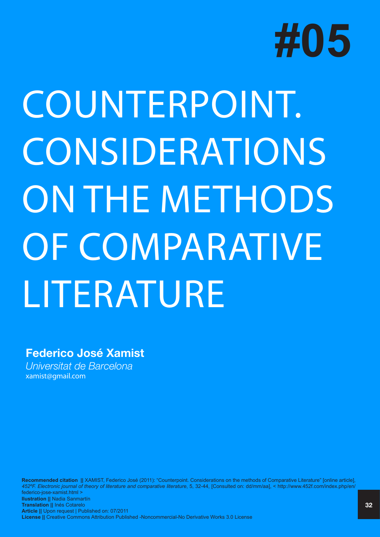

# COUNTERPOINT. **CONSIDERATIONS** ON THE METHODS OF COMPARATIVE LITERATURE

## **Federico José Xamist**

*Universitat de Barcelona* xamist@gmail.com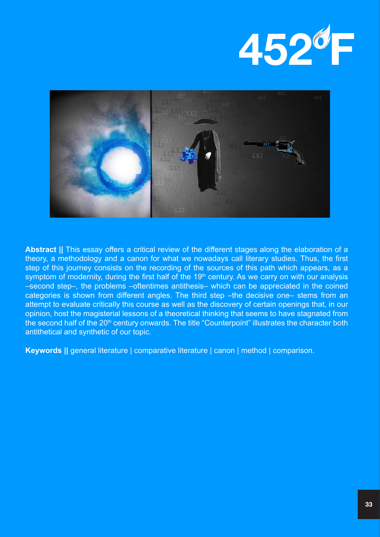



**Abstract ||** This essay offers a critical review of the different stages along the elaboration of a theory, a methodology and a canon for what we nowadays call literary studies. Thus, the first step of this journey consists on the recording of the sources of this path which appears, as a symptom of modernity, during the first half of the  $19<sup>th</sup>$  century. As we carry on with our analysis –second step–, the problems –oftentimes antithesis– which can be appreciated in the coined categories is shown from different angles. The third step –the decisive one– stems from an attempt to evaluate critically this course as well as the discovery of certain openings that, in our opinion, host the magisterial lessons of a theoretical thinking that seems to have stagnated from the second half of the 20<sup>th</sup> century onwards. The title "Counterpoint" illustrates the character both antithetical and synthetic of our topic.

**Keywords ||** general literature | comparative literature | canon | method | comparison.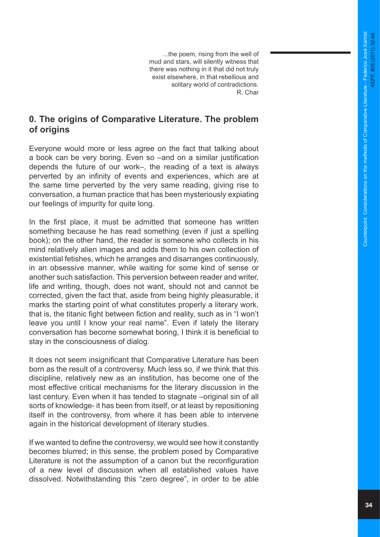...the poem, rising from the well of mud and stars, will silently witness that there was nothing in it that did not truly exist elsewhere, in that rebellious and solitary world of contradictions. R. Char

#### **0. The origins of Comparative Literature. The problem of origins**

Everyone would more or less agree on the fact that talking about a book can be very boring. Even so –and on a similar justification depends the future of our work–, the reading of a text is always perverted by an infinity of events and experiences, which are at the same time perverted by the very same reading, giving rise to conversation, a human practice that has been mysteriously expiating our feelings of impurity for quite long.

In the first place, it must be admitted that someone has written something because he has read something (even if just a spelling book); on the other hand, the reader is someone who collects in his mind relatively alien images and adds them to his own collection of existential fetishes, which he arranges and disarranges continuously, in an obsessive manner, while waiting for some kind of sense or another such satisfaction. This perversion between reader and writer, life and writing, though, does not want, should not and cannot be corrected, given the fact that, aside from being highly pleasurable, it marks the starting point of what constitutes properly a literary work, that is, the titanic fight between fiction and reality, such as in "I won't leave you until I know your real name". Even if lately the literary conversation has become somewhat boring, I think it is beneficial to stay in the consciousness of dialog.

It does not seem insignificant that Comparative Literature has been born as the result of a controversy. Much less so, if we think that this discipline, relatively new as an institution, has become one of the most effective critical mechanisms for the literary discussion in the last century. Even when it has tended to stagnate –original sin of all sorts of knowledge- it has been from itself, or at least by repositioning itself in the controversy, from where it has been able to intervene again in the historical development of literary studies.

If we wanted to define the controversy, we would see how it constantly becomes blurred; in this sense, the problem posed by Comparative Literature is not the assumption of a canon but the reconfiguration of a new level of discussion when all established values have dissolved. Notwithstanding this "zero degree", in order to be able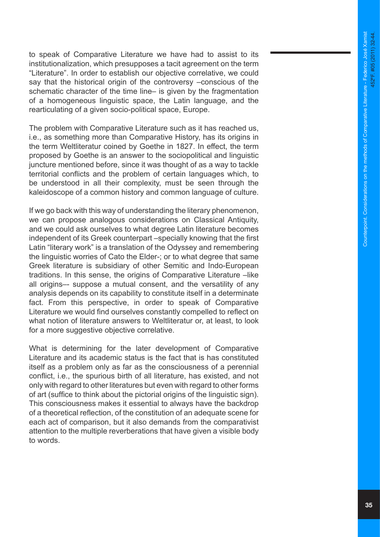to speak of Comparative Literature we have had to assist to its institutionalization, which presupposes a tacit agreement on the term "Literature". In order to establish our objective correlative, we could say that the historical origin of the controversy –conscious of the schematic character of the time line– is given by the fragmentation of a homogeneous linguistic space, the Latin language, and the rearticulating of a given socio-political space, Europe.

The problem with Comparative Literature such as it has reached us, i.e., as something more than Comparative History, has its origins in the term Weltliteratur coined by Goethe in 1827. In effect, the term proposed by Goethe is an answer to the sociopolitical and linguistic juncture mentioned before, since it was thought of as a way to tackle territorial conflicts and the problem of certain languages which, to be understood in all their complexity, must be seen through the kaleidoscope of a common history and common language of culture.

If we go back with this way of understanding the literary phenomenon, we can propose analogous considerations on Classical Antiquity, and we could ask ourselves to what degree Latin literature becomes independent of its Greek counterpart –specially knowing that the first Latin "literary work" is a translation of the Odyssey and remembering the linguistic worries of Cato the Elder-; or to what degree that same Greek literature is subsidiary of other Semitic and Indo-European traditions. In this sense, the origins of Comparative Literature –like all origins–- suppose a mutual consent, and the versatility of any analysis depends on its capability to constitute itself in a determinate fact. From this perspective, in order to speak of Comparative Literature we would find ourselves constantly compelled to reflect on what notion of literature answers to Weltliteratur or, at least, to look for a more suggestive objective correlative.

What is determining for the later development of Comparative Literature and its academic status is the fact that is has constituted itself as a problem only as far as the consciousness of a perennial conflict, i.e., the spurious birth of all literature, has existed, and not only with regard to other literatures but even with regard to other forms of art (suffice to think about the pictorial origins of the linguistic sign). This consciousness makes it essential to always have the backdrop of a theoretical reflection, of the constitution of an adequate scene for each act of comparison, but it also demands from the comparativist attention to the multiple reverberations that have given a visible body to words.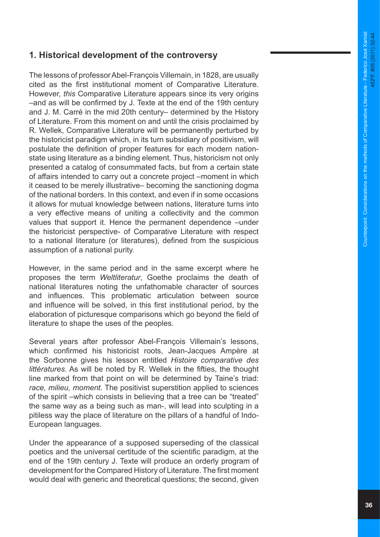#### **1. Historical development of the controversy**

The lessons of professor Abel-François Villemain, in 1828, are usually cited as the first institutional moment of Comparative Literature. However, *this* Comparative Literature appears since its very origins –and as will be confirmed by J. Texte at the end of the 19th century and J. M. Carré in the mid 20th century– determined by the History of Literature. From this moment on and until the crisis proclaimed by R. Wellek, Comparative Literature will be permanently perturbed by the historicist paradigm which, in its turn subsidiary of positivism, will postulate the definition of proper features for each modern nationstate using literature as a binding element. Thus, historicism not only presented a catalog of consummated facts, but from a certain state of affairs intended to carry out a concrete project –moment in which it ceased to be merely illustrative– becoming the sanctioning dogma of the national borders. In this context, and even if in some occasions it allows for mutual knowledge between nations, literature turns into a very effective means of uniting a collectivity and the common values that support it. Hence the permanent dependence –under the historicist perspective- of Comparative Literature with respect to a national literature (or literatures), defined from the suspicious assumption of a national purity.

However, in the same period and in the same excerpt where he proposes the term *Weltliteratur*, Goethe proclaims the death of national literatures noting the unfathomable character of sources and influences. This problematic articulation between source and influence will be solved, in this first institutional period, by the elaboration of picturesque comparisons which go beyond the field of literature to shape the uses of the peoples.

Several years after professor Abel-François Villemain's lessons, which confirmed his historicist roots, Jean-Jacques Ampère at the Sorbonne gives his lesson entitled *Histoire comparative des littératures*. As will be noted by R. Wellek in the fifties, the thought line marked from that point on will be determined by Taine's triad: *race, milieu, moment*. The positivist superstition applied to sciences of the spirit –which consists in believing that a tree can be "treated" the same way as a being such as man-, will lead into sculpting in a pitiless way the place of literature on the pillars of a handful of Indo-European languages.

Under the appearance of a supposed superseding of the classical poetics and the universal certitude of the scientific paradigm, at the end of the 19th century J. Texte will produce an orderly program of development for the Compared History of Literature. The first moment would deal with generic and theoretical questions; the second, given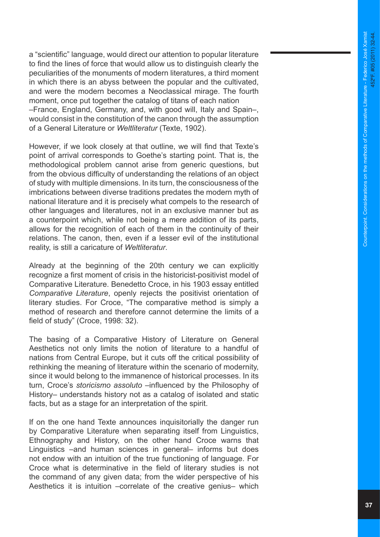a "scientific" language, would direct our attention to popular literature to find the lines of force that would allow us to distinguish clearly the peculiarities of the monuments of modern literatures, a third moment in which there is an abyss between the popular and the cultivated, and were the modern becomes a Neoclassical mirage. The fourth moment, once put together the catalog of titans of each nation –France, England, Germany, and, with good will, Italy and Spain–, would consist in the constitution of the canon through the assumption of a General Literature or *Weltliteratur* (Texte, 1902).

However, if we look closely at that outline, we will find that Texte's point of arrival corresponds to Goethe's starting point. That is, the methodological problem cannot arise from generic questions, but from the obvious difficulty of understanding the relations of an object of study with multiple dimensions. In its turn, the consciousness of the imbrications between diverse traditions predates the modern myth of national literature and it is precisely what compels to the research of other languages and literatures, not in an exclusive manner but as a counterpoint which, while not being a mere addition of its parts, allows for the recognition of each of them in the continuity of their relations. The canon, then, even if a lesser evil of the institutional reality, is still a caricature of *Weltliteratur* .

Already at the beginning of the 20th century we can explicitly recognize a first moment of crisis in the historicist-positivist model of Comparative Literature. Benedetto Croce, in his 1903 essay entitled *Comparative Literature*, openly rejects the positivist orientation of literary studies. For Croce, "The comparative method is simply a method of research and therefore cannot determine the limits of a field of study" (Croce, 1998: 32).

The basing of a Comparative History of Literature on General Aesthetics not only limits the notion of literature to a handful of nations from Central Europe, but it cuts off the critical possibility of rethinking the meaning of literature within the scenario of modernity, since it would belong to the immanence of historical processes. In its turn, Croce's *storicismo assoluto* –influenced by the Philosophy of History– understands history not as a catalog of isolated and static facts, but as a stage for an interpretation of the spirit.

If on the one hand Texte announces inquisitorially the danger run by Comparative Literature when separating itself from Linguistics, Ethnography and History, on the other hand Croce warns that Linguistics –and human sciences in general– informs but does not endow with an intuition of the true functioning of language. For Croce what is determinative in the field of literary studies is not the command of any given data; from the wider perspective of his Aesthetics it is intuition –correlate of the creative genius– which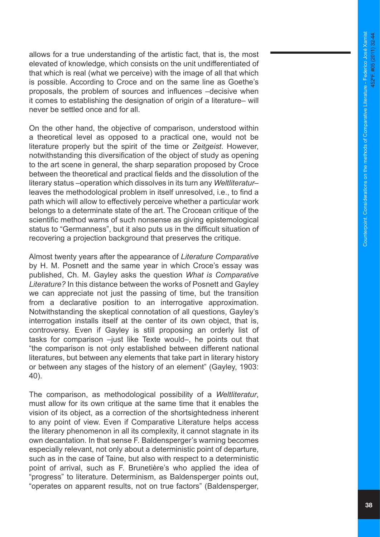allows for a true understanding of the artistic fact, that is, the most elevated of knowledge, which consists on the unit undifferentiated of that which is real (what we perceive) with the image of all that which is possible. According to Croce and on the same line as Goethe's proposals, the problem of sources and influences –decisive when it comes to establishing the designation of origin of a literature– will never be settled once and for all.

On the other hand, the objective of comparison, understood within a theoretical level as opposed to a practical one, would not be literature properly but the spirit of the time or *Zeitgeist*. However, notwithstanding this diversification of the object of study as opening to the art scene in general, the sharp separation proposed by Croce between the theoretical and practical fields and the dissolution of the literary status –operation which dissolves in its turn any *Weltliteratur*– leaves the methodological problem in itself unresolved, i.e., to find a path which will allow to effectively perceive whether a particular work belongs to a determinate state of the art. The Crocean critique of the scientific method warns of such nonsense as giving epistemological status to "Germanness", but it also puts us in the difficult situation of recovering a projection background that preserves the critique.

Almost twenty years after the appearance of *Literature Comparative*  by H. M. Posnett and the same year in which Croce's essay was published, Ch. M. Gayley asks the question *What is Comparative Literature?* In this distance between the works of Posnett and Gayley we can appreciate not just the passing of time, but the transition from a declarative position to an interrogative approximation. Notwithstanding the skeptical connotation of all questions, Gayley's interrogation installs itself at the center of its own object, that is, controversy. Even if Gayley is still proposing an orderly list of tasks for comparison –just like Texte would–, he points out that "the comparison is not only established between different national literatures, but between any elements that take part in literary history or between any stages of the history of an element" (Gayley, 1903: 40).

The comparison, as methodological possibility of a *Weltliteratur*, must allow for its own critique at the same time that it enables the vision of its object, as a correction of the shortsightedness inherent to any point of view. Even if Comparative Literature helps access the literary phenomenon in all its complexity, it cannot stagnate in its own decantation. In that sense F. Baldensperger's warning becomes especially relevant, not only about a deterministic point of departure, such as in the case of Taine, but also with respect to a deterministic point of arrival, such as F. Brunetière's who applied the idea of "progress" to literature. Determinism, as Baldensperger points out, "operates on apparent results, not on true factors" (Baldensperger,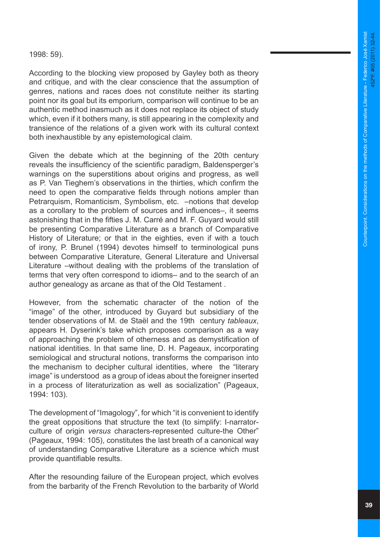1998: 59).

According to the blocking view proposed by Gayley both as theory and critique, and with the clear conscience that the assumption of genres, nations and races does not constitute neither its starting point nor its goal but its emporium, comparison will continue to be an authentic method inasmuch as it does not replace its object of study which, even if it bothers many, is still appearing in the complexity and transience of the relations of a given work with its cultural context both inexhaustible by any epistemological claim.

Given the debate which at the beginning of the 20th century reveals the insufficiency of the scientific paradigm, Baldensperger's warnings on the superstitions about origins and progress, as well as P. Van Tieghem's observations in the thirties, which confirm the need to open the comparative fields through notions ampler than Petrarquism, Romanticism, Symbolism, etc. –notions that develop as a corollary to the problem of sources and influences–, it seems astonishing that in the fifties J. M. Carré and M. F. Guyard would still be presenting Comparative Literature as a branch of Comparative History of Literature; or that in the eighties, even if with a touch of irony, P. Brunel (1994) devotes himself to terminological puns between Comparative Literature, General Literature and Universal Literature –without dealing with the problems of the translation of terms that very often correspond to idioms– and to the search of an author genealogy as arcane as that of the Old Testament .

However, from the schematic character of the notion of the "image" of the other, introduced by Guyard but subsidiary of the tender observations of M. de Staël and the 19th century *tableaux*, appears H. Dyserink's take which proposes comparison as a way of approaching the problem of otherness and as demystification of national identities. In that same line, D. H. Pageaux, incorporating semiological and structural notions, transforms the comparison into the mechanism to decipher cultural identities, where the "literary image" is understood as a group of ideas about the foreigner inserted in a process of literaturization as well as socialization" (Pageaux, 1994: 103).

The development of "Imagology", for which "it is convenient to identify the great oppositions that structure the text (to simplify: I-narratorculture of origin *versus* characters-represented culture-the Other" (Pageaux, 1994: 105), constitutes the last breath of a canonical way of understanding Comparative Literature as a science which must provide quantifiable results.

After the resounding failure of the European project, which evolves from the barbarity of the French Revolution to the barbarity of World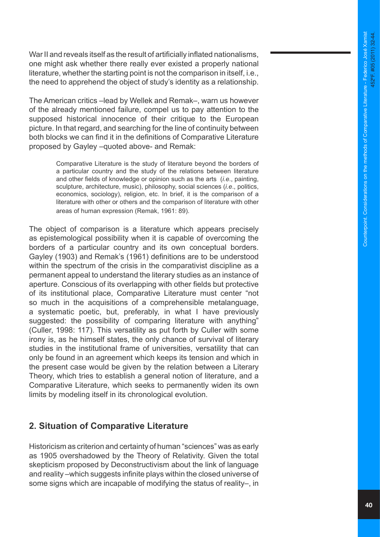War II and reveals itself as the result of artificially inflated nationalisms, one might ask whether there really ever existed a properly national literature, whether the starting point is not the comparison in itself, i.e., the need to apprehend the object of study's identity as a relationship.

The American critics –lead by Wellek and Remak–, warn us however of the already mentioned failure, compel us to pay attention to the supposed historical innocence of their critique to the European picture. In that regard, and searching for the line of continuity between both blocks we can find it in the definitions of Comparative Literature proposed by Gayley –quoted above- and Remak:

> Comparative Literature is the study of literature beyond the borders of a particular country and the study of the relations between literature and other fields of knowledge or opinion such as the arts (*i.e*., painting, sculpture, architecture, music), philosophy, social sciences (*i.e*., politics, economics, sociology), religion, etc. In brief, it is the comparison of a literature with other or others and the comparison of literature with other areas of human expression (Remak, 1961: 89).

The object of comparison is a literature which appears precisely as epistemological possibility when it is capable of overcoming the borders of a particular country and its own conceptual borders. Gayley (1903) and Remak's (1961) definitions are to be understood within the spectrum of the crisis in the comparativist discipline as a permanent appeal to understand the literary studies as an instance of aperture. Conscious of its overlapping with other fields but protective of its institutional place, Comparative Literature must center "not so much in the acquisitions of a comprehensible metalanguage, a systematic poetic, but, preferably, in what I have previously suggested: the possibility of comparing literature with anything" (Culler, 1998: 117). This versatility as put forth by Culler with some irony is, as he himself states, the only chance of survival of literary studies in the institutional frame of universities, versatility that can only be found in an agreement which keeps its tension and which in the present case would be given by the relation between a Literary Theory, which tries to establish a general notion of literature, and a Comparative Literature, which seeks to permanently widen its own limits by modeling itself in its chronological evolution.

#### **2. Situation of Comparative Literature**

Historicism as criterion and certainty of human "sciences" was as early as 1905 overshadowed by the Theory of Relativity. Given the total skepticism proposed by Deconstructivism about the link of language and reality –which suggests infinite plays within the closed universe of some signs which are incapable of modifying the status of reality–, in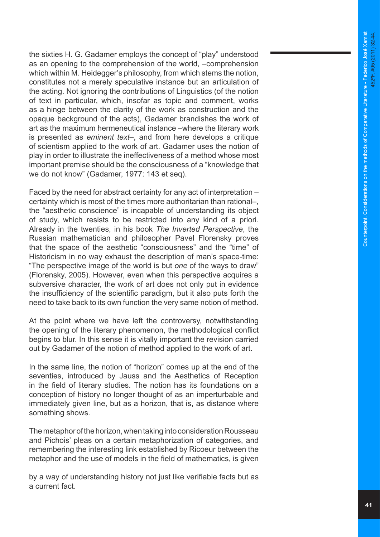the sixties H. G. Gadamer employs the concept of "play" understood as an opening to the comprehension of the world, –comprehension which within M. Heidegger's philosophy, from which stems the notion, constitutes not a merely speculative instance but an articulation of the acting. Not ignoring the contributions of Linguistics (of the notion of text in particular, which, insofar as topic and comment, works as a hinge between the clarity of the work as construction and the opaque background of the acts), Gadamer brandishes the work of art as the maximum hermeneutical instance –where the literary work is presented as *eminent text*–, and from here develops a critique of scientism applied to the work of art. Gadamer uses the notion of play in order to illustrate the ineffectiveness of a method whose most important premise should be the consciousness of a "knowledge that we do not know" (Gadamer, 1977: 143 et seq).

Faced by the need for abstract certainty for any act of interpretation – certainty which is most of the times more authoritarian than rational–, the "aesthetic conscience" is incapable of understanding its object of study, which resists to be restricted into any kind of a priori. Already in the twenties, in his book *The Inverted Perspective*, the Russian mathematician and philosopher Pavel Florensky proves that the space of the aesthetic "consciousness" and the "time" of Historicism in no way exhaust the description of man's space-time: "The perspective image of the world is but *one* of the ways to draw" (Florensky, 2005). However, even when this perspective acquires a subversive character, the work of art does not only put in evidence the insufficiency of the scientific paradigm, but it also puts forth the need to take back to its own function the very same notion of method.

At the point where we have left the controversy, notwithstanding the opening of the literary phenomenon, the methodological conflict begins to blur. In this sense it is vitally important the revision carried out by Gadamer of the notion of method applied to the work of art.

In the same line, the notion of "horizon" comes up at the end of the seventies, introduced by Jauss and the Aesthetics of Reception in the field of literary studies. The notion has its foundations on a conception of history no longer thought of as an imperturbable and immediately given line, but as a horizon, that is, as distance where something shows.

The metaphor of the horizon, when taking into consideration Rousseau and Pichois' pleas on a certain metaphorization of categories, and remembering the interesting link established by Ricoeur between the metaphor and the use of models in the field of mathematics, is given

by a way of understanding history not just like verifiable facts but as a current fact.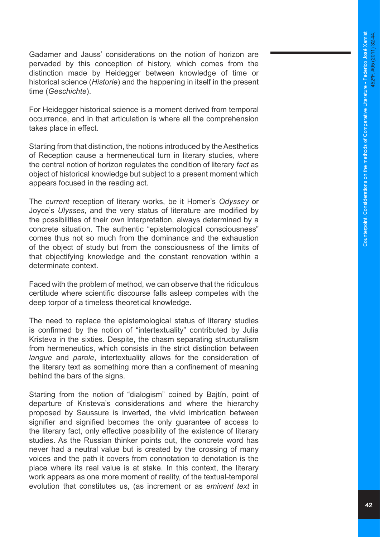Gadamer and Jauss' considerations on the notion of horizon are pervaded by this conception of history, which comes from the distinction made by Heidegger between knowledge of time or historical science (*Historie*) and the happening in itself in the present time (*Geschichte*).

For Heidegger historical science is a moment derived from temporal occurrence, and in that articulation is where all the comprehension takes place in effect.

Starting from that distinction, the notions introduced by the Aesthetics of Reception cause a hermeneutical turn in literary studies, where the central notion of horizon regulates the condition of literary *fact* as object of historical knowledge but subject to a present moment which appears focused in the reading act.

The *current* reception of literary works, be it Homer's *Odyssey* or Joyce's *Ulysses*, and the very status of literature are modified by the possibilities of their own interpretation, always determined by a concrete situation. The authentic "epistemological consciousness" comes thus not so much from the dominance and the exhaustion of the object of study but from the consciousness of the limits of that objectifying knowledge and the constant renovation within a determinate context.

Faced with the problem of method, we can observe that the ridiculous certitude where scientific discourse falls asleep competes with the deep torpor of a timeless theoretical knowledge.

The need to replace the epistemological status of literary studies is confirmed by the notion of "intertextuality" contributed by Julia Kristeva in the sixties. Despite, the chasm separating structuralism from hermeneutics, which consists in the strict distinction between *langue* and *parole*, intertextuality allows for the consideration of the literary text as something more than a confinement of meaning behind the bars of the signs.

Starting from the notion of "dialogism" coined by Bajtín, point of departure of Kristeva's considerations and where the hierarchy proposed by Saussure is inverted, the vivid imbrication between signifier and signified becomes the only guarantee of access to the literary fact, only effective possibility of the existence of literary studies. As the Russian thinker points out, the concrete word has never had a neutral value but is created by the crossing of many voices and the path it covers from connotation to denotation is the place where its real value is at stake. In this context, the literary work appears as one more moment of reality, of the textual-temporal evolution that constitutes us, (as increment or as *eminent text* in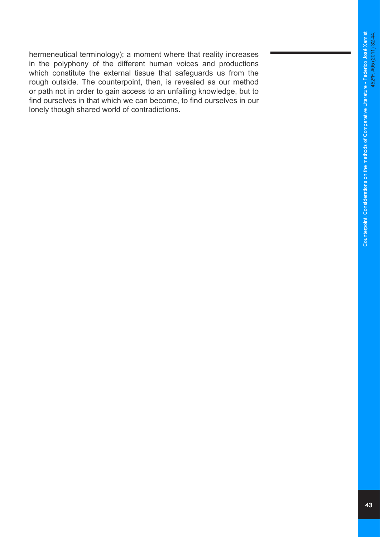hermeneutical terminology); a moment where that reality increases in the polyphony of the different human voices and productions which constitute the external tissue that safeguards us from the rough outside. The counterpoint, then, is revealed as our method or path not in order to gain access to an unfailing knowledge, but to find ourselves in that which we can become, to find ourselves in our lonely though shared world of contradictions.